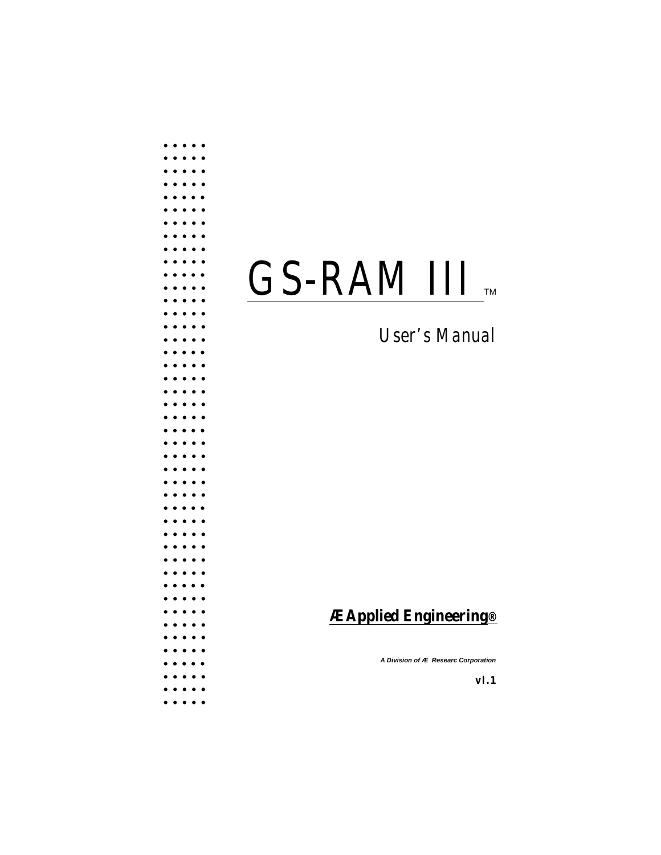# GS-RAM III

# User's Manual

# **ÆApplied Engineering®**

A Division of Æ Researc Corporation

 $v1.1$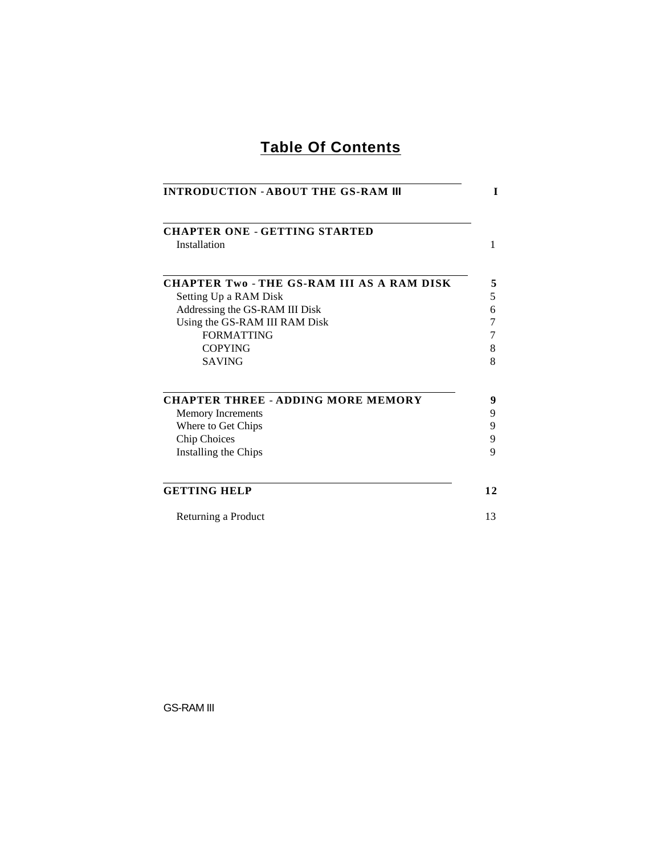# **Table Of Contents**

<span id="page-1-0"></span>

| <b>INTRODUCTION - ABOUT THE GS-RAM III</b><br><b>CHAPTER ONE - GETTING STARTED</b> |  |  |  |  |
|------------------------------------------------------------------------------------|--|--|--|--|
|                                                                                    |  |  |  |  |
| <b>CHAPTER Two-THE GS-RAM III AS A RAM DISK</b>                                    |  |  |  |  |
| Setting Up a RAM Disk                                                              |  |  |  |  |
| Addressing the GS-RAM III Disk                                                     |  |  |  |  |
| Using the GS-RAM III RAM Disk                                                      |  |  |  |  |
| <b>FORMATTING</b>                                                                  |  |  |  |  |
| <b>COPYING</b><br><b>SAVING</b>                                                    |  |  |  |  |
|                                                                                    |  |  |  |  |
| <b>CHAPTER THREE - ADDING MORE MEMORY</b>                                          |  |  |  |  |
| <b>Memory Increments</b>                                                           |  |  |  |  |
| Where to Get Chips                                                                 |  |  |  |  |
| <b>Chip Choices</b>                                                                |  |  |  |  |
| Installing the Chips                                                               |  |  |  |  |
| <b>GETTING HELP</b>                                                                |  |  |  |  |
| Returning a Product                                                                |  |  |  |  |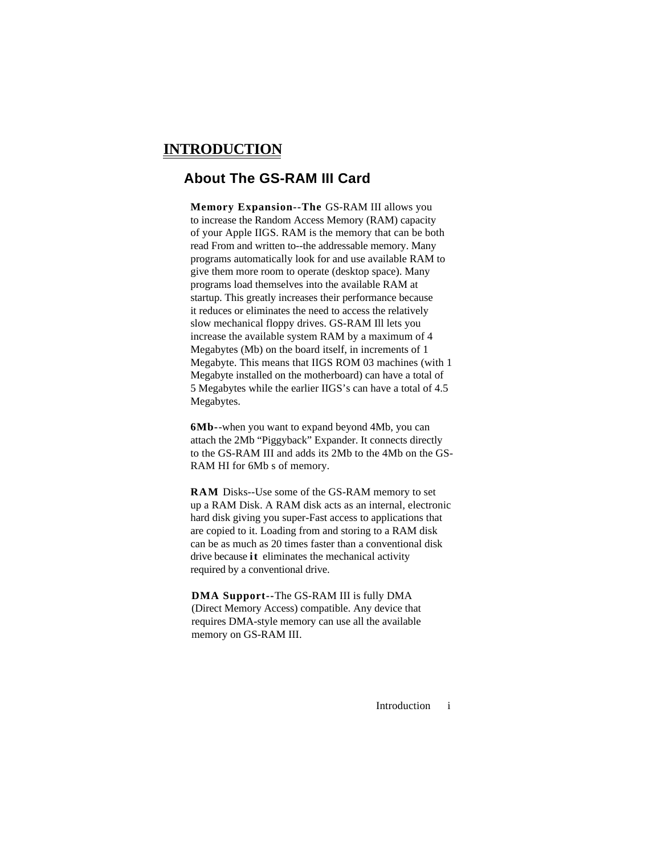## <span id="page-2-0"></span>**INTRODUCTION**

### **About The GS-RAM III Card**

**Memory Expansion--The** GS-RAM III allows you to increase the Random Access Memory (RAM) capacity of your Apple IIGS. RAM is the memory that can be both read From and written to--the addressable memory. Many programs automatically look for and use available RAM to give them more room to operate (desktop space). Many programs load themselves into the available RAM at startup. This greatly increases their performance because it reduces or eliminates the need to access the relatively slow mechanical floppy drives. GS-RAM Ill lets you increase the available system RAM by a maximum of 4 Megabytes (Mb) on the board itself, in increments of 1 Megabyte. This means that IIGS ROM 03 machines (with 1 Megabyte installed on the motherboard) can have a total of 5 Megabytes while the earlier IIGS's can have a total of 4.5 Megabytes.

**6Mb-**-when you want to expand beyond 4Mb, you can attach the 2Mb "Piggyback" Expander. It connects directly to the GS-RAM III and adds its 2Mb to the 4Mb on the GS-RAM HI for 6Mb s of memory.

**RAM** Disks--Use some of the GS-RAM memory to set up a RAM Disk. A RAM disk acts as an internal, electronic hard disk giving you super-Fast access to applications that are copied to it. Loading from and storing to a RAM disk can be as much as 20 times faster than a conventional disk drive because **it** eliminates the mechanical activity required by a conventional drive.

**DMA Support--**The GS-RAM III is fully DMA (Direct Memory Access) compatible. Any device that requires DMA-style memory can use all the available memory on GS-RAM III.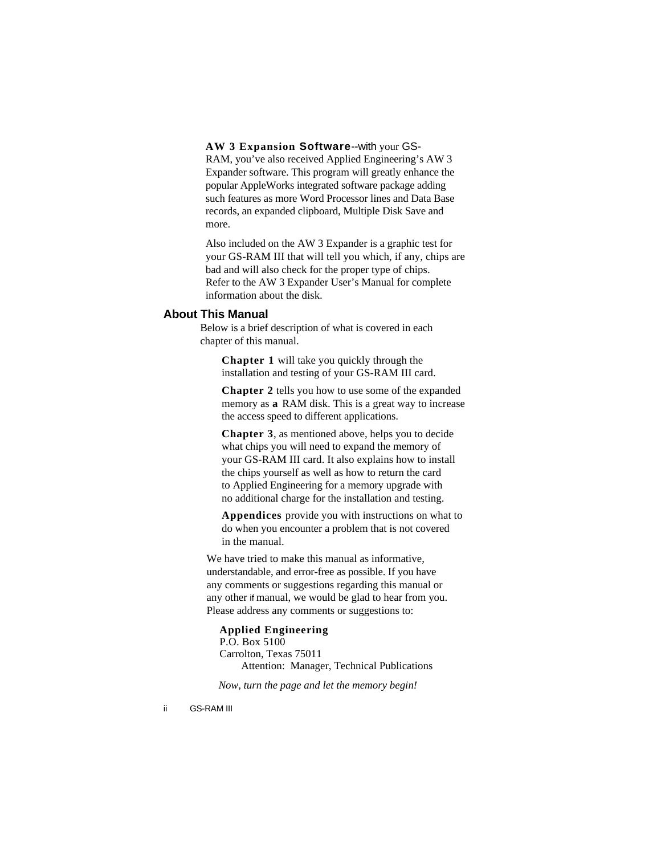**AW 3 Expansion Software**--with your GS-RAM, you've also received Applied Engineering's AW 3 Expander software. This program will greatly enhance the popular AppleWorks integrated software package adding such features as more Word Processor lines and Data Base records, an expanded clipboard, Multiple Disk Save and more.

Also included on the AW 3 Expander is a graphic test for your GS-RAM III that will tell you which, if any, chips are bad and will also check for the proper type of chips. Refer to the AW 3 Expander User's Manual for complete information about the disk.

### **About This Manual**

Below is a brief description of what is covered in each chapter of this manual.

**Chapter 1** will take you quickly through the installation and testing of your GS-RAM III card.

**Chapter 2** tells you how to use some of the expanded memory as **a** RAM disk. This is a great way to increase the access speed to different applications.

**Chapter 3**, as mentioned above, helps you to decide what chips you will need to expand the memory of your GS-RAM III card. It also explains how to install the chips yourself as well as how to return the card to Applied Engineering for a memory upgrade with no additional charge for the installation and testing.

**Appendices** provide you with instructions on what to do when you encounter a problem that is not covered in the manual.

We have tried to make this manual as informative, understandable, and error-free as possible. If you have any comments or suggestions regarding this manual or any other if manual, we would be glad to hear from you. Please address any comments or suggestions to:

### **Applied Engineering**

P.O. Box 5100 Carrolton, Texas 75011 Attention: Manager, Technical Publications

*Now, turn the page and let the memory begin!*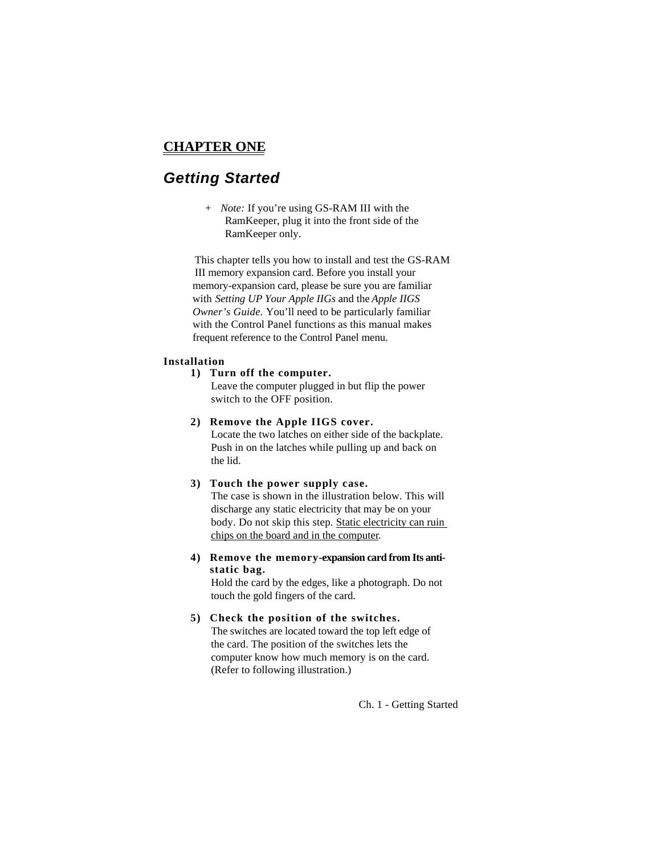### <span id="page-4-0"></span>**CHAPTER ONE**

# *Getting Started*

*+ Note:* If you're using GS-RAM III with the RamKeeper, plug it into the front side of the RamKeeper only.

This chapter tells you how to install and test the GS-RAM III memory expansion card. Before you install your memory-expansion card, please be sure you are familiar with *Setting UP Your Apple IIGs* and the *Apple IIGS Owner's Guide.* You'll need to be particularly familiar with the Control Panel functions as this manual makes frequent reference to the Control Panel menu.

### **Installation**

### **1) Turn off the computer.**

Leave the computer plugged in but flip the power switch to the OFF position.

### **2) Remove the Apple IIGS cover.**

Locate the two latches on either side of the backplate. Push in on the latches while pulling up and back on the lid.

### **3) Touch the power supply case.**

The case is shown in the illustration below. This will discharge any static electricity that may be on your body. Do not skip this step. Static electricity can ruin chips on the board and in the computer.

**4) Remove the memory-expansion card from Its antistatic bag.**

Hold the card by the edges, like a photograph. Do not touch the gold fingers of the card.

### **5) Check the position of the switches.**

The switches are located toward the top left edge of the card. The position of the switches lets the computer know how much memory is on the card. (Refer to following illustration.)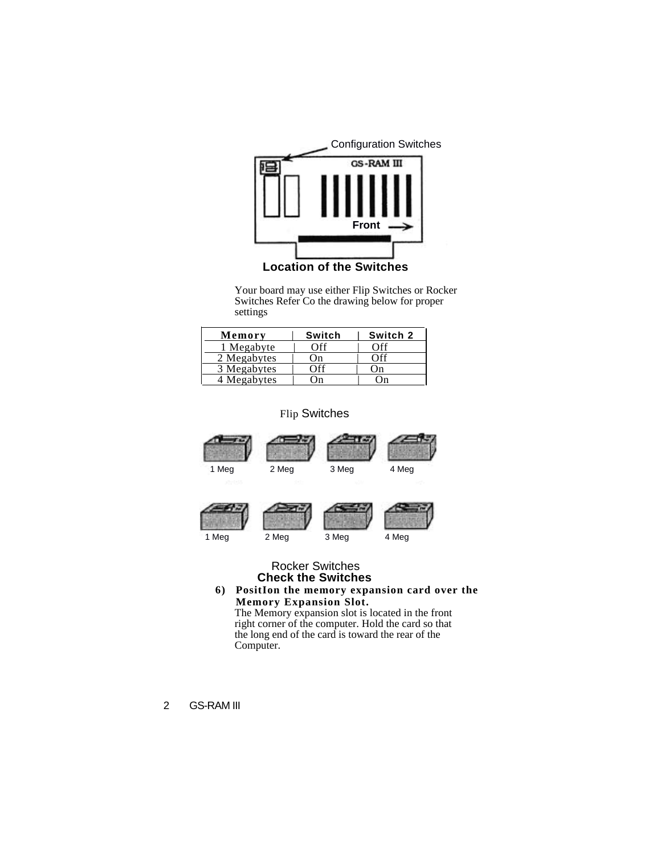

**Location of the Switches**

Your board may use either Flip Switches or Rocker Switches Refer Co the drawing below for proper settings

| Memory      | Switch | Switch 2 |
|-------------|--------|----------|
| 1 Megabyte  | Off    | ∩ff      |
| 2 Megabytes | .)n    | .)ff     |
| 3 Megabytes | ገքք    | l ) n    |
| 4 Megabytes | )n     |          |

### Flip Switches



### Rocker Switches **Check the Switches**

**6) PositIon the memory expansion card over the Memory Expansion Slot.**

The Memory expansion slot is located in the front right corner of the computer. Hold the card so that the long end of the card is toward the rear of the Computer.

2 GS-RAM III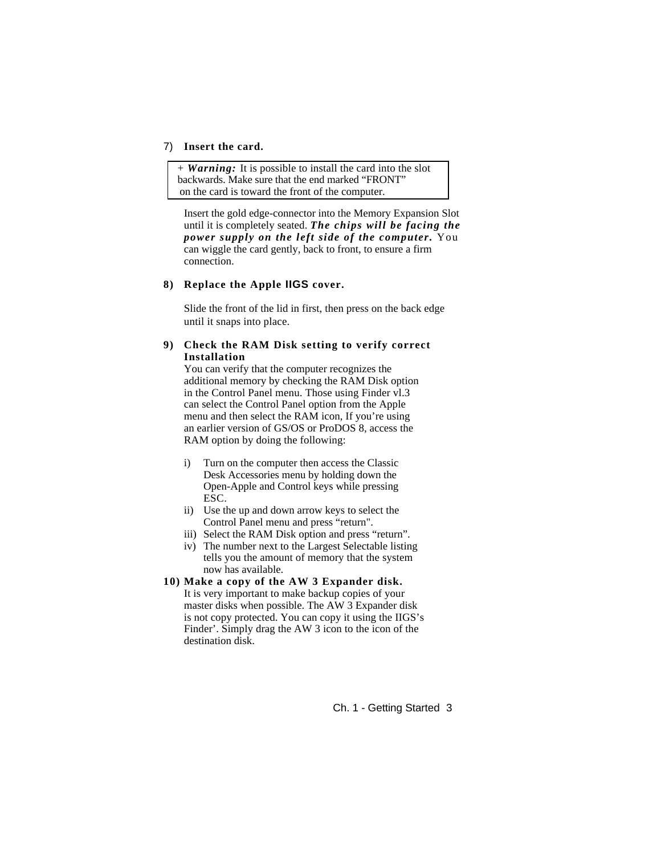### 7) **Insert the card.**

+ *Warning:* It is possible to install the card into the slot backwards. Make sure that the end marked "FRONT" on the card is toward the front of the computer.

Insert the gold edge-connector into the Memory Expansion Slot until it is completely seated. *The chips will be facing the power supply on the left side of the computer.* You can wiggle the card gently, back to front, to ensure a firm connection.

### **8) Replace the Apple IIGS cover.**

Slide the front of the lid in first, then press on the back edge until it snaps into place.

### **9) Check the RAM Disk setting to verify correct Installation**

You can verify that the computer recognizes the additional memory by checking the RAM Disk option in the Control Panel menu. Those using Finder vl.3 can select the Control Panel option from the Apple menu and then select the RAM icon, If you're using an earlier version of GS/OS or ProDOS 8, access the RAM option by doing the following:

- i) Turn on the computer then access the Classic Desk Accessories menu by holding down the Open-Apple and Control keys while pressing ESC.
- ii) Use the up and down arrow keys to select the Control Panel menu and press "return".
- iii) Select the RAM Disk option and press "return".
- iv) The number next to the Largest Selectable listing tells you the amount of memory that the system now has available.
- **10) Make a copy of the AW 3 Expander disk.** It is very important to make backup copies of your master disks when possible. The AW 3 Expander disk is not copy protected. You can copy it using the IIGS's Finder'. Simply drag the AW 3 icon to the icon of the destination disk.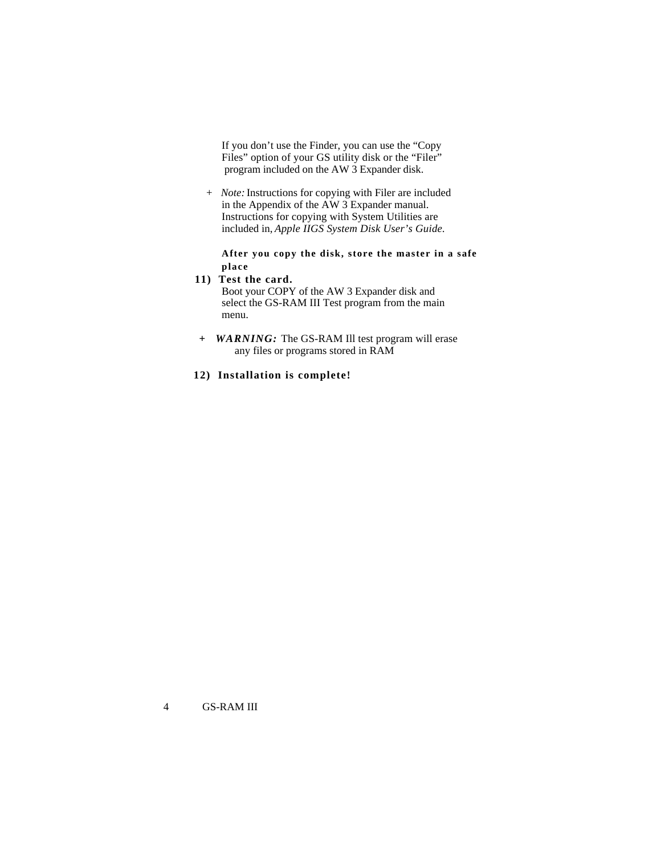If you don't use the Finder, you can use the "Copy Files" option of your GS utility disk or the "Filer" program included on the AW 3 Expander disk.

*+ Note:* Instructions for copying with Filer are included in the Appendix of the AW 3 Expander manual. Instructions for copying with System Utilities are included in, *Apple IIGS System Disk User's Guide.*

### **After you copy the disk, store the master in a safe place**

### **11) Test the card.**

Boot your COPY of the AW 3 Expander disk and select the GS-RAM III Test program from the main menu.

*+ WARNING:* The GS-RAM Ill test program will erase any files or programs stored in RAM

### **12) Installation is complete!**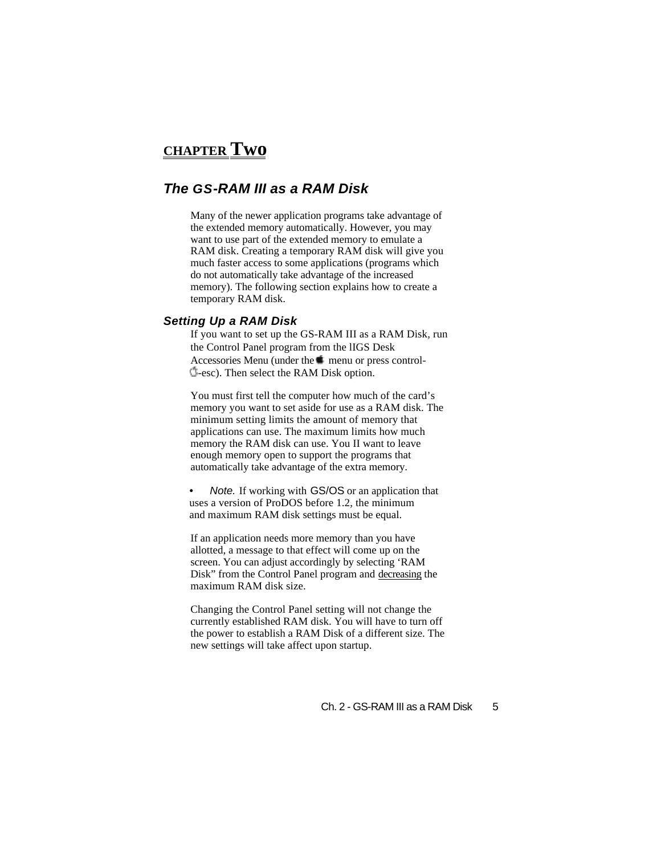# <span id="page-8-0"></span>**CHAPTER Two**

### *The GS-RAM III as a RAM Disk*

Many of the newer application programs take advantage of the extended memory automatically. However, you may want to use part of the extended memory to emulate a RAM disk. Creating a temporary RAM disk will give you much faster access to some applications (programs which do not automatically take advantage of the increased memory). The following section explains how to create a temporary RAM disk.

### *Setting Up a RAM Disk*

If you want to set up the GS-RAM III as a RAM Disk, run the Control Panel program from the lIGS Desk Accessories Menu (under the  $\blacksquare$  menu or press control--esc). Then select the RAM Disk option.

You must first tell the computer how much of the card's memory you want to set aside for use as a RAM disk. The minimum setting limits the amount of memory that applications can use. The maximum limits how much memory the RAM disk can use. You II want to leave enough memory open to support the programs that automatically take advantage of the extra memory.

*• Note.* If working with GS/OS or an application that uses a version of ProDOS before 1.2, the minimum and maximum RAM disk settings must be equal.

If an application needs more memory than you have allotted, a message to that effect will come up on the screen. You can adjust accordingly by selecting 'RAM Disk" from the Control Panel program and decreasing the maximum RAM disk size.

Changing the Control Panel setting will not change the currently established RAM disk. You will have to turn off the power to establish a RAM Disk of a different size. The new settings will take affect upon startup.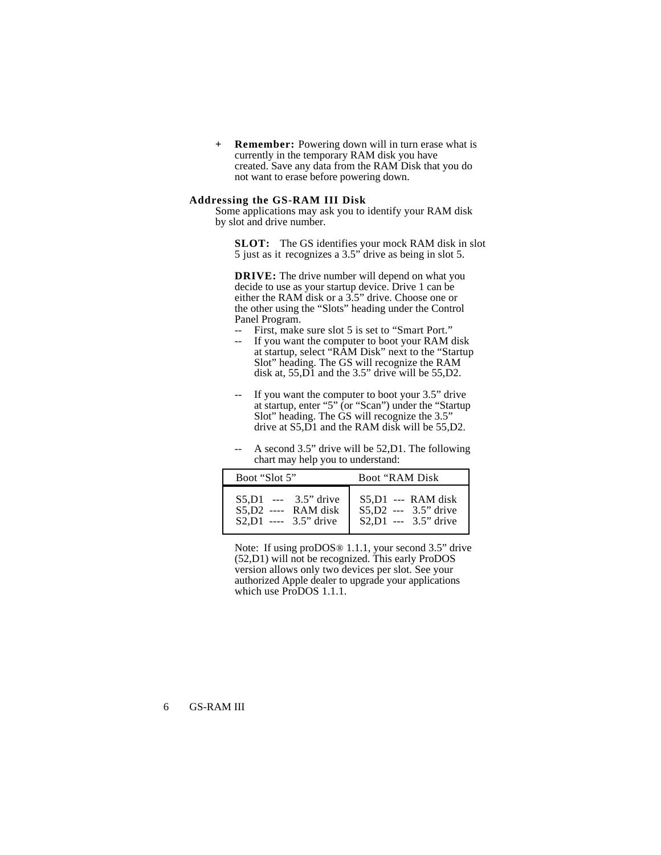<span id="page-9-0"></span>**+ Remember:** Powering down will in turn erase what is currently in the temporary RAM disk you have created. Save any data from the RAM Disk that you do not want to erase before powering down.

### **Addressing the GS-RAM III Disk**

Some applications may ask you to identify your RAM disk by slot and drive number.

**SLOT:** The GS identifies your mock RAM disk in slot 5 just as it recognizes a 3.5" drive as being in slot 5.

**DRIVE:** The drive number will depend on what you decide to use as your startup device. Drive 1 can be either the RAM disk or a 3.5" drive. Choose one or the other using the "Slots" heading under the Control Panel Program.

- First, make sure slot 5 is set to "Smart Port."
- -- If you want the computer to boot your RAM disk at startup, select "RAM Disk" next to the "Startup Slot" heading. The GS will recognize the RAM disk at, 55,D1 and the 3.5" drive will be 55,D2.
- -- If you want the computer to boot your 3.5" drive at startup, enter "5" (or "Scan") under the "Startup Slot" heading. The GS will recognize the 3.5" drive at S5,D1 and the RAM disk will be 55,D2.
- A second 3.5" drive will be  $52, D1$ . The following chart may help you to understand:

| Boot "Slot 5"            | Boot "RAM Disk"        |  |
|--------------------------|------------------------|--|
| $S5.D1$ --- 3.5" drive   | $S5,D1$ --- RAM disk   |  |
| $S5,D2$ ---- RAM disk    | $S5.D2$ --- 3.5" drive |  |
| $S2, D1$ ---- 3.5" drive | $S2,D1$ --- 3.5" drive |  |

Note: If using proDOS<sup>®</sup> 1.1.1, your second 3.5" drive (52,D1) will not be recognized. This early ProDOS version allows only two devices per slot. See your authorized Apple dealer to upgrade your applications which use ProDOS 1.1.1.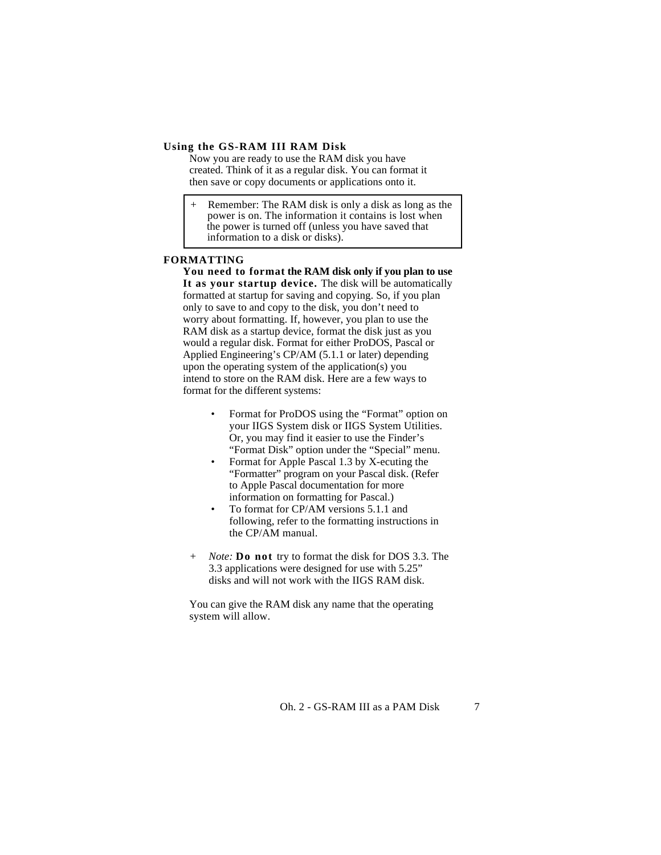### <span id="page-10-0"></span>**Using the GS-RAM III RAM Disk**

Now you are ready to use the RAM disk you have created. Think of it as a regular disk. You can format it then save or copy documents or applications onto it.

Remember: The RAM disk is only a disk as long as the power is on. The information it contains is lost when the power is turned off (unless you have saved that information to a disk or disks).

### **FORMATTlNG**

**You need to format the RAM disk only if you plan to use It as your startup device.** The disk will be automatically formatted at startup for saving and copying. So, if you plan only to save to and copy to the disk, you don't need to worry about formatting. If, however, you plan to use the RAM disk as a startup device, format the disk just as you would a regular disk. Format for either ProDOS, Pascal or Applied Engineering's CP/AM (5.1.1 or later) depending upon the operating system of the application(s) you intend to store on the RAM disk. Here are a few ways to format for the different systems:

- Format for ProDOS using the "Format" option on your IIGS System disk or IIGS System Utilities. Or, you may find it easier to use the Finder's "Format Disk" option under the "Special" menu.
- Format for Apple Pascal 1.3 by X-ecuting the "Formatter" program on your Pascal disk. (Refer to Apple Pascal documentation for more information on formatting for Pascal.)
- To format for CP/AM versions 5.1.1 and following, refer to the formatting instructions in the CP/AM manual.
- *+ Note:* **Do not** try to format the disk for DOS 3.3. The 3.3 applications were designed for use with 5.25" disks and will not work with the IIGS RAM disk.

You can give the RAM disk any name that the operating system will allow.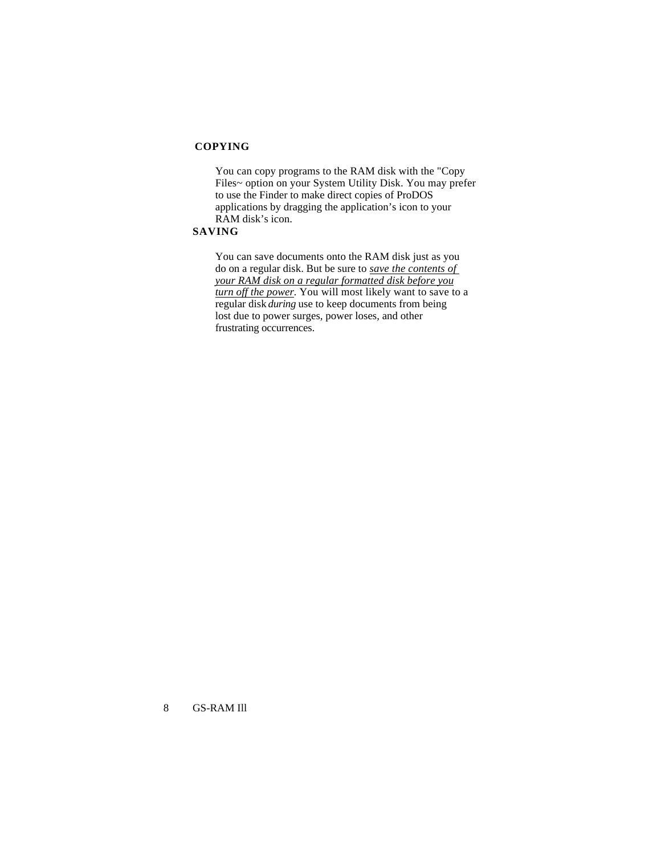### <span id="page-11-0"></span>**COPYING**

You can copy programs to the RAM disk with the "Copy Files~ option on your System Utility Disk. You may prefer to use the Finder to make direct copies of ProDOS applications by dragging the application's icon to your RAM disk's icon.

### **SAVING**

You can save documents onto the RAM disk just as you do on a regular disk. But be sure to *save the contents of your RAM disk on a regular formatted disk before you turn off the power.* You will most likely want to save to a regular disk *during* use to keep documents from being lost due to power surges, power loses, and other frustrating occurrences.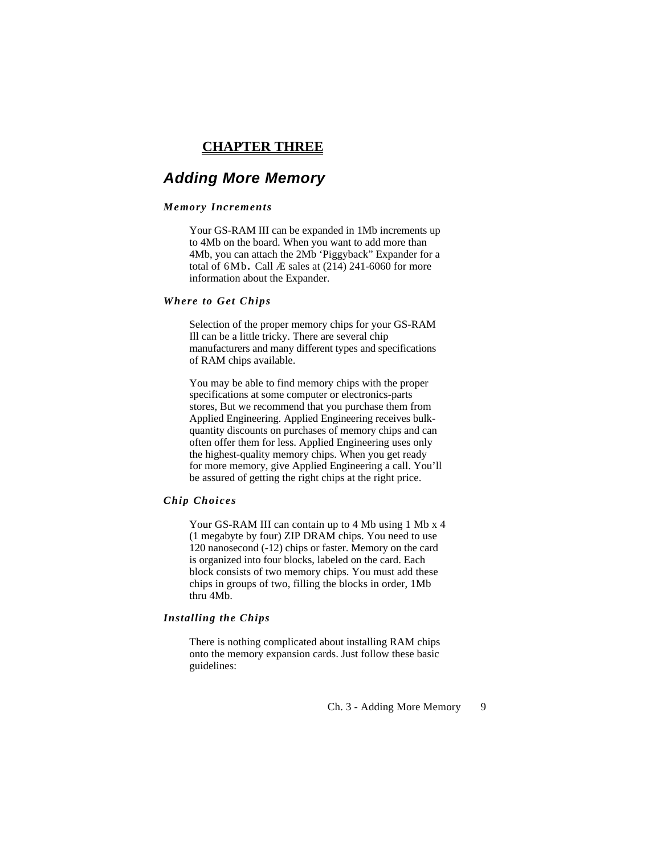### **CHAPTER THREE**

### <span id="page-12-0"></span>*Adding More Memory*

#### *Memory Increments*

Your GS-RAM III can be expanded in 1Mb increments up to 4Mb on the board. When you want to add more than 4Mb, you can attach the 2Mb 'Piggyback" Expander for a total of 6Mb**.** Call Æ sales at (214) 241-6060 for more information about the Expander.

#### *Where to Get Chips*

Selection of the proper memory chips for your GS-RAM Ill can be a little tricky. There are several chip manufacturers and many different types and specifications of RAM chips available.

You may be able to find memory chips with the proper specifications at some computer or electronics-parts stores, But we recommend that you purchase them from Applied Engineering. Applied Engineering receives bulkquantity discounts on purchases of memory chips and can often offer them for less. Applied Engineering uses only the highest-quality memory chips. When you get ready for more memory, give Applied Engineering a call. You'll be assured of getting the right chips at the right price.

#### *Chip Choices*

Your GS-RAM III can contain up to 4 Mb using 1 Mb x 4 (1 megabyte by four) ZIP DRAM chips. You need to use 120 nanosecond (-12) chips or faster. Memory on the card is organized into four blocks, labeled on the card. Each block consists of two memory chips. You must add these chips in groups of two, filling the blocks in order, 1Mb thru 4Mb.

### *Installing the Chips*

There is nothing complicated about installing RAM chips onto the memory expansion cards. Just follow these basic guidelines: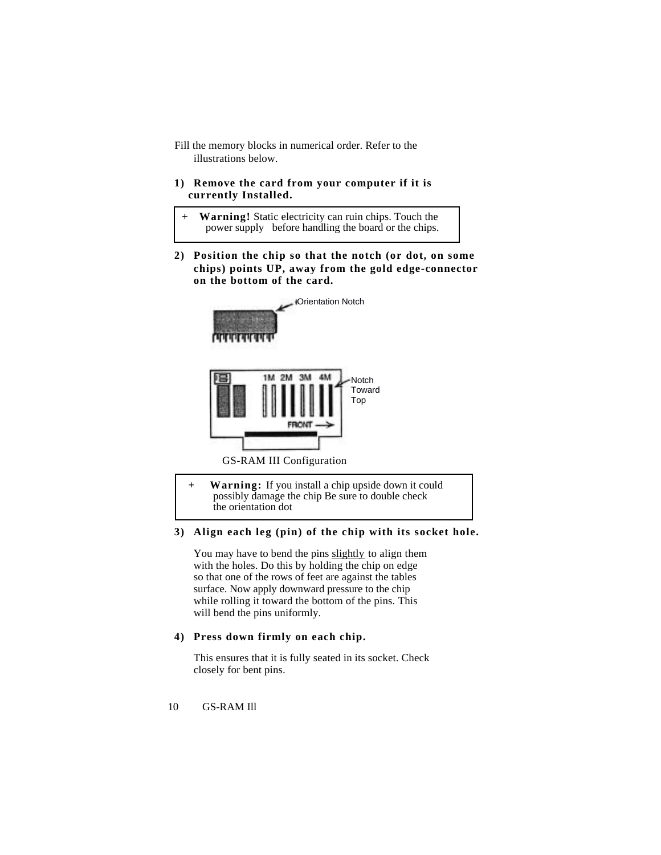Fill the memory blocks in numerical order. Refer to the illustrations below.

### **1) Remove the card from your computer if it is currently Installed.**

- **+ Warning!** Static electricity can ruin chips. Touch the power supply before handling the board or the chips.
- **2) Position the chip so that the notch (or dot, on some chips) points UP, away from the gold edge-connector on the bottom of the card.**



**+ Warning:** If you install a chip upside down it could possibly damage the chip Be sure to double check the orientation dot

### **3) Align each leg (pin) of the chip with its socket hole.**

You may have to bend the pins slightly to align them with the holes. Do this by holding the chip on edge so that one of the rows of feet are against the tables surface. Now apply downward pressure to the chip while rolling it toward the bottom of the pins. This will bend the pins uniformly.

### **4) Press down firmly on each chip.**

This ensures that it is fully seated in its socket. Check closely for bent pins.